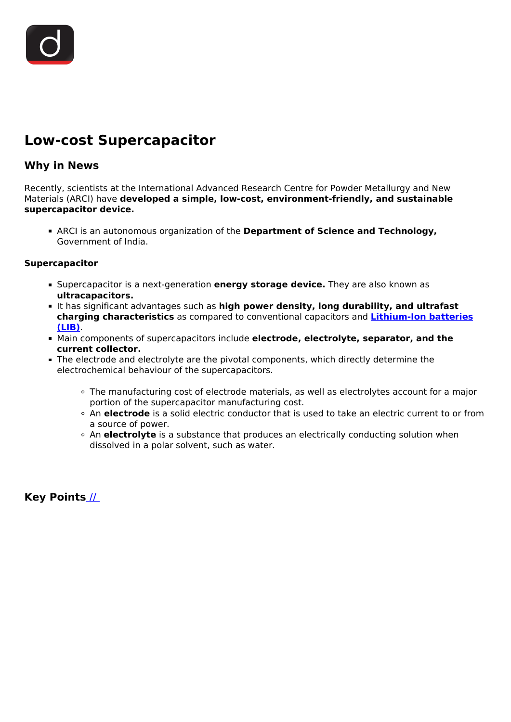

## **Low-cost Supercapacitor**

## **Why in News**

Recently, scientists at the International Advanced Research Centre for Powder Metallurgy and New Materials (ARCI) have **developed a simple, low-cost, environment-friendly, and sustainable supercapacitor device.**

ARCI is an autonomous organization of the **Department of Science and Technology,** Government of India.

## **Supercapacitor**

- **Supercapacitor is a next-generation energy storage device.** They are also known as **ultracapacitors.**
- It has significant advantages such as **high power density, long durability, and ultrafast charging characteristics** as compared to conventional capacitors and **[Lithium-Ion batteries](/daily-updates/daily-news-analysis/increasing-imports-of-li-ion-batteries) [\(LIB\)](/daily-updates/daily-news-analysis/increasing-imports-of-li-ion-batteries)**.
- Main components of supercapacitors include **electrode, electrolyte, separator, and the current collector.**
- The electrode and electrolyte are the pivotal components, which directly determine the electrochemical behaviour of the supercapacitors.
	- The manufacturing cost of electrode materials, as well as electrolytes account for a major portion of the supercapacitor manufacturing cost.
	- An **electrode** is a solid electric conductor that is used to take an electric current to or from a source of power.
	- An **electrolyte** is a substance that produces an electrically conducting solution when dissolved in a polar solvent, such as water.

**Key Points** [//](https://www.drishtiias.com/images/uploads/1594809522_Images.jpg)